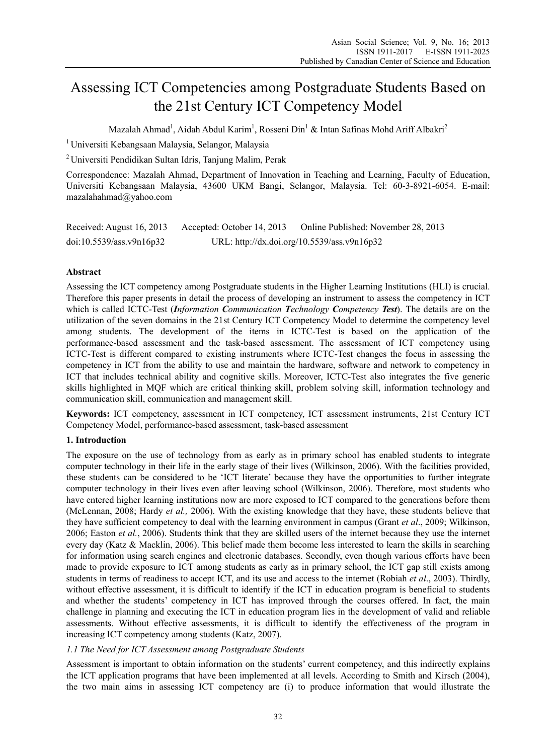# Assessing ICT Competencies among Postgraduate Students Based on the 21st Century ICT Competency Model

Mazalah Ahmad<sup>1</sup>, Aidah Abdul Karim<sup>1</sup>, Rosseni Din<sup>1</sup> & Intan Safinas Mohd Ariff Albakri<sup>2</sup>

1 Universiti Kebangsaan Malaysia, Selangor, Malaysia

2 Universiti Pendidikan Sultan Idris, Tanjung Malim, Perak

Correspondence: Mazalah Ahmad, Department of Innovation in Teaching and Learning, Faculty of Education, Universiti Kebangsaan Malaysia, 43600 UKM Bangi, Selangor, Malaysia. Tel: 60-3-8921-6054. E-mail: mazalahahmad@yahoo.com

| Received: August 16, 2013 | Accepted: October 14, 2013 | Online Published: November 28, 2013         |
|---------------------------|----------------------------|---------------------------------------------|
| doi:10.5539/ass.v9n16p32  |                            | URL: http://dx.doi.org/10.5539/ass.v9n16p32 |

## **Abstract**

Assessing the ICT competency among Postgraduate students in the Higher Learning Institutions (HLI) is crucial. Therefore this paper presents in detail the process of developing an instrument to assess the competency in ICT which is called ICTC-Test (*Information Communication Technology Competency Test*). The details are on the utilization of the seven domains in the 21st Century ICT Competency Model to determine the competency level among students. The development of the items in ICTC-Test is based on the application of the performance-based assessment and the task-based assessment. The assessment of ICT competency using ICTC-Test is different compared to existing instruments where ICTC-Test changes the focus in assessing the competency in ICT from the ability to use and maintain the hardware, software and network to competency in ICT that includes technical ability and cognitive skills. Moreover, ICTC-Test also integrates the five generic skills highlighted in MQF which are critical thinking skill, problem solving skill, information technology and communication skill, communication and management skill.

**Keywords:** ICT competency, assessment in ICT competency, ICT assessment instruments, 21st Century ICT Competency Model, performance-based assessment, task-based assessment

## **1. Introduction**

The exposure on the use of technology from as early as in primary school has enabled students to integrate computer technology in their life in the early stage of their lives (Wilkinson, 2006). With the facilities provided, these students can be considered to be 'ICT literate' because they have the opportunities to further integrate computer technology in their lives even after leaving school (Wilkinson, 2006). Therefore, most students who have entered higher learning institutions now are more exposed to ICT compared to the generations before them (McLennan, 2008; Hardy *et al.,* 2006). With the existing knowledge that they have, these students believe that they have sufficient competency to deal with the learning environment in campus (Grant *et al*., 2009; Wilkinson, 2006; Easton *et al.*, 2006). Students think that they are skilled users of the internet because they use the internet every day (Katz & Macklin, 2006). This belief made them become less interested to learn the skills in searching for information using search engines and electronic databases. Secondly, even though various efforts have been made to provide exposure to ICT among students as early as in primary school, the ICT gap still exists among students in terms of readiness to accept ICT, and its use and access to the internet (Robiah *et al*., 2003). Thirdly, without effective assessment, it is difficult to identify if the ICT in education program is beneficial to students and whether the students' competency in ICT has improved through the courses offered. In fact, the main challenge in planning and executing the ICT in education program lies in the development of valid and reliable assessments. Without effective assessments, it is difficult to identify the effectiveness of the program in increasing ICT competency among students (Katz, 2007).

## *1.1 The Need for ICT Assessment among Postgraduate Students*

Assessment is important to obtain information on the students' current competency, and this indirectly explains the ICT application programs that have been implemented at all levels. According to Smith and Kirsch (2004), the two main aims in assessing ICT competency are (i) to produce information that would illustrate the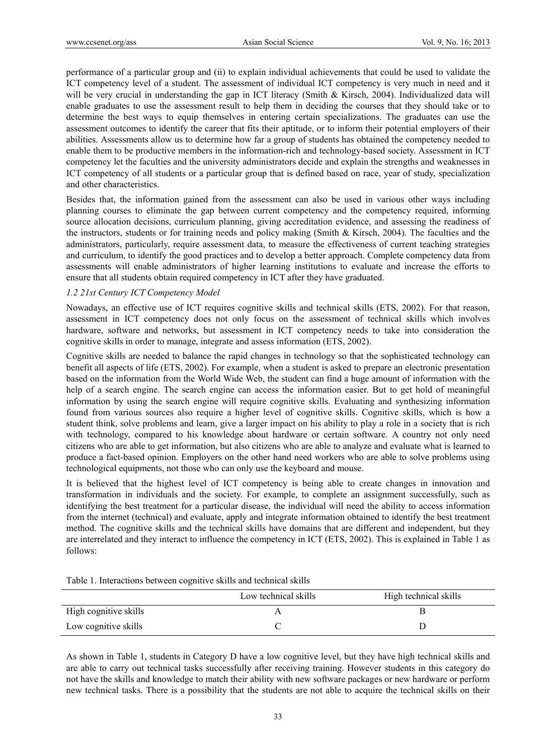performance of a particular group and (ii) to explain individual achievements that could be used to validate the ICT competency level of a student. The assessment of individual ICT competency is very much in need and it will be very crucial in understanding the gap in ICT literacy (Smith & Kirsch, 2004). Individualized data will enable graduates to use the assessment result to help them in deciding the courses that they should take or to determine the best ways to equip themselves in entering certain specializations. The graduates can use the assessment outcomes to identify the career that fits their aptitude, or to inform their potential employers of their abilities. Assessments allow us to determine how far a group of students has obtained the competency needed to enable them to be productive members in the information-rich and technology-based society. Assessment in ICT competency let the faculties and the university administrators decide and explain the strengths and weaknesses in ICT competency of all students or a particular group that is defined based on race, year of study, specialization and other characteristics.

Besides that, the information gained from the assessment can also be used in various other ways including planning courses to eliminate the gap between current competency and the competency required, informing source allocation decisions, curriculum planning, giving accreditation evidence, and assessing the readiness of the instructors, students or for training needs and policy making (Smith & Kirsch, 2004). The faculties and the administrators, particularly, require assessment data, to measure the effectiveness of current teaching strategies and curriculum, to identify the good practices and to develop a better approach. Complete competency data from assessments will enable administrators of higher learning institutions to evaluate and increase the efforts to ensure that all students obtain required competency in ICT after they have graduated.

## *1.2 21st Century ICT Competency Model*

Nowadays, an effective use of ICT requires cognitive skills and technical skills (ETS, 2002). For that reason, assessment in ICT competency does not only focus on the assessment of technical skills which involves hardware, software and networks, but assessment in ICT competency needs to take into consideration the cognitive skills in order to manage, integrate and assess information (ETS, 2002).

Cognitive skills are needed to balance the rapid changes in technology so that the sophisticated technology can benefit all aspects of life (ETS, 2002). For example, when a student is asked to prepare an electronic presentation based on the information from the World Wide Web, the student can find a huge amount of information with the help of a search engine. The search engine can access the information easier. But to get hold of meaningful information by using the search engine will require cognitive skills. Evaluating and synthesizing information found from various sources also require a higher level of cognitive skills. Cognitive skills, which is how a student think, solve problems and learn, give a larger impact on his ability to play a role in a society that is rich with technology, compared to his knowledge about hardware or certain software. A country not only need citizens who are able to get information, but also citizens who are able to analyze and evaluate what is learned to produce a fact-based opinion. Employers on the other hand need workers who are able to solve problems using technological equipments, not those who can only use the keyboard and mouse.

It is believed that the highest level of ICT competency is being able to create changes in innovation and transformation in individuals and the society. For example, to complete an assignment successfully, such as identifying the best treatment for a particular disease, the individual will need the ability to access information from the internet (technical) and evaluate, apply and integrate information obtained to identify the best treatment method. The cognitive skills and the technical skills have domains that are different and independent, but they are interrelated and they interact to influence the competency in ICT (ETS, 2002). This is explained in Table 1 as follows:

| Table 1. Interactions between cognitive skills and technical skills |
|---------------------------------------------------------------------|
|---------------------------------------------------------------------|

|                       | Low technical skills | High technical skills |
|-----------------------|----------------------|-----------------------|
| High cognitive skills |                      |                       |
| Low cognitive skills  |                      |                       |

As shown in Table 1, students in Category D have a low cognitive level, but they have high technical skills and are able to carry out technical tasks successfully after receiving training. However students in this category do not have the skills and knowledge to match their ability with new software packages or new hardware or perform new technical tasks. There is a possibility that the students are not able to acquire the technical skills on their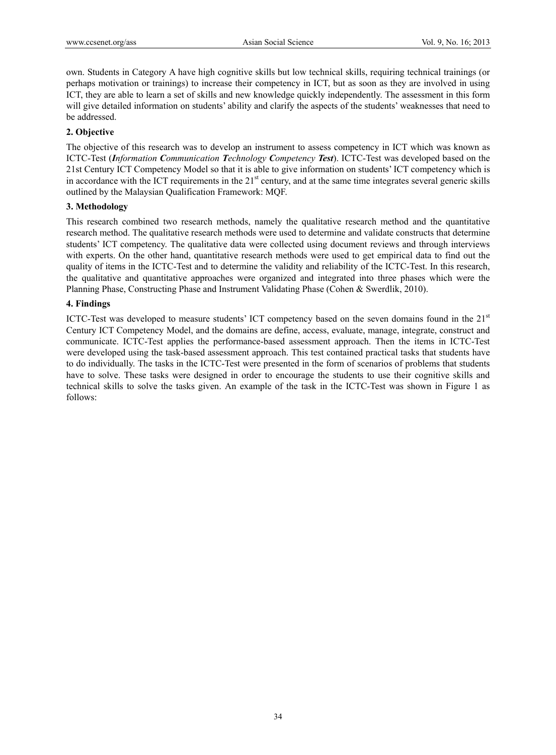own. Students in Category A have high cognitive skills but low technical skills, requiring technical trainings (or perhaps motivation or trainings) to increase their competency in ICT, but as soon as they are involved in using ICT, they are able to learn a set of skills and new knowledge quickly independently. The assessment in this form will give detailed information on students' ability and clarify the aspects of the students' weaknesses that need to be addressed.

## **2. Objective**

The objective of this research was to develop an instrument to assess competency in ICT which was known as ICTC-Test (*Information Communication Technology Competency Test*). ICTC-Test was developed based on the 21st Century ICT Competency Model so that it is able to give information on students' ICT competency which is in accordance with the ICT requirements in the 21<sup>st</sup> century, and at the same time integrates several generic skills outlined by the Malaysian Qualification Framework: MQF.

## **3. Methodology**

This research combined two research methods, namely the qualitative research method and the quantitative research method. The qualitative research methods were used to determine and validate constructs that determine students' ICT competency. The qualitative data were collected using document reviews and through interviews with experts. On the other hand, quantitative research methods were used to get empirical data to find out the quality of items in the ICTC-Test and to determine the validity and reliability of the ICTC-Test. In this research, the qualitative and quantitative approaches were organized and integrated into three phases which were the Planning Phase, Constructing Phase and Instrument Validating Phase (Cohen & Swerdlik, 2010).

## **4. Findings**

ICTC-Test was developed to measure students' ICT competency based on the seven domains found in the  $21<sup>st</sup>$ Century ICT Competency Model, and the domains are define, access, evaluate, manage, integrate, construct and communicate. ICTC-Test applies the performance-based assessment approach. Then the items in ICTC-Test were developed using the task-based assessment approach. This test contained practical tasks that students have to do individually. The tasks in the ICTC-Test were presented in the form of scenarios of problems that students have to solve. These tasks were designed in order to encourage the students to use their cognitive skills and technical skills to solve the tasks given. An example of the task in the ICTC-Test was shown in Figure 1 as follows: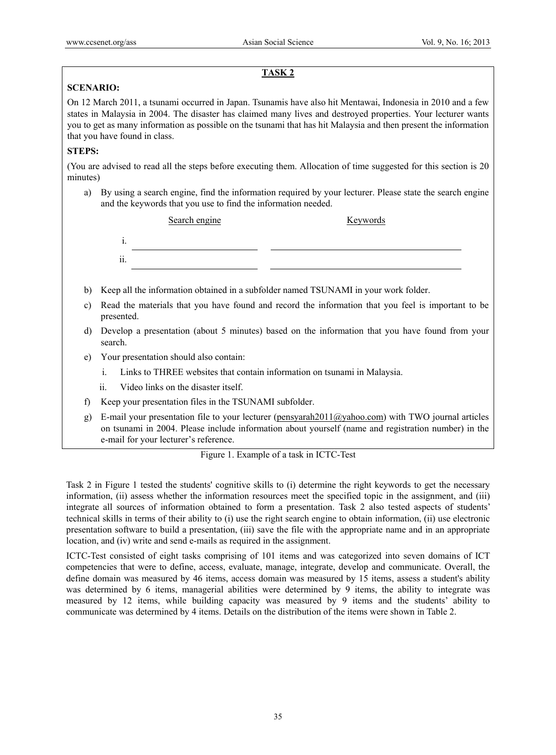## **TASK 2**

## **SCENARIO:**

On 12 March 2011, a tsunami occurred in Japan. Tsunamis have also hit Mentawai, Indonesia in 2010 and a few states in Malaysia in 2004. The disaster has claimed many lives and destroyed properties. Your lecturer wants you to get as many information as possible on the tsunami that has hit Malaysia and then present the information that you have found in class.

## **STEPS:**

(You are advised to read all the steps before executing them. Allocation of time suggested for this section is 20 minutes)

a) By using a search engine, find the information required by your lecturer. Please state the search engine and the keywords that you use to find the information needed.

|                      | Search engine | <b>Keywords</b> |
|----------------------|---------------|-----------------|
|                      |               |                 |
| $\cdot \cdot$<br>11. |               |                 |
|                      |               |                 |

- b) Keep all the information obtained in a subfolder named TSUNAMI in your work folder.
- c) Read the materials that you have found and record the information that you feel is important to be presented.
- d) Develop a presentation (about 5 minutes) based on the information that you have found from your search.
- e) Your presentation should also contain:
	- i. Links to THREE websites that contain information on tsunami in Malaysia.
	- ii. Video links on the disaster itself.
- f) Keep your presentation files in the TSUNAMI subfolder.
- g) E-mail your presentation file to your lecturer (pensyarah2011@yahoo.com) with TWO journal articles on tsunami in 2004. Please include information about yourself (name and registration number) in the e-mail for your lecturer's reference.

## Figure 1. Example of a task in ICTC-Test

Task 2 in Figure 1 tested the students' cognitive skills to (i) determine the right keywords to get the necessary information, (ii) assess whether the information resources meet the specified topic in the assignment, and (iii) integrate all sources of information obtained to form a presentation. Task 2 also tested aspects of students' technical skills in terms of their ability to (i) use the right search engine to obtain information, (ii) use electronic presentation software to build a presentation, (iii) save the file with the appropriate name and in an appropriate location, and (iv) write and send e-mails as required in the assignment.

ICTC-Test consisted of eight tasks comprising of 101 items and was categorized into seven domains of ICT competencies that were to define, access, evaluate, manage, integrate, develop and communicate. Overall, the define domain was measured by 46 items, access domain was measured by 15 items, assess a student's ability was determined by 6 items, managerial abilities were determined by 9 items, the ability to integrate was measured by 12 items, while building capacity was measured by 9 items and the students' ability to communicate was determined by 4 items. Details on the distribution of the items were shown in Table 2.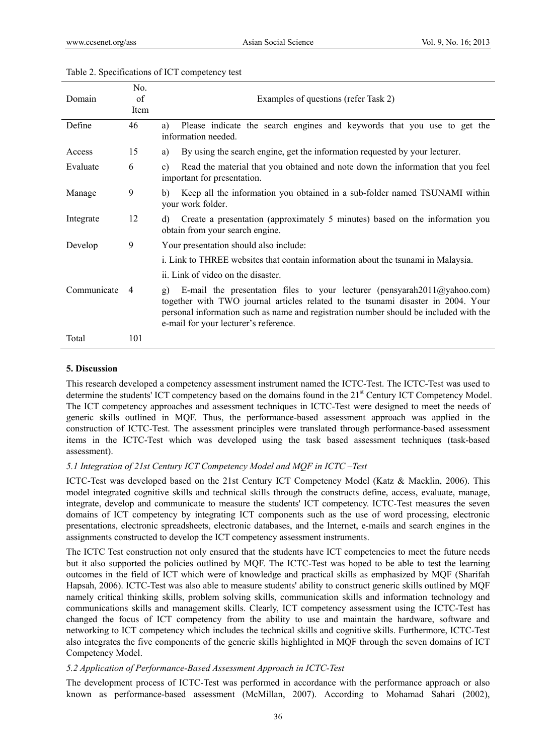| Domain      | No.<br>of<br>Item | Examples of questions (refer Task 2)                                                                                                                                                                                                                                                                               |
|-------------|-------------------|--------------------------------------------------------------------------------------------------------------------------------------------------------------------------------------------------------------------------------------------------------------------------------------------------------------------|
| Define      | 46                | Please indicate the search engines and keywords that you use to get the<br>a)<br>information needed.                                                                                                                                                                                                               |
| Access      | 15                | By using the search engine, get the information requested by your lecturer.<br>a)                                                                                                                                                                                                                                  |
| Evaluate    | 6                 | Read the material that you obtained and note down the information that you feel<br>$\mathbf{c}$<br>important for presentation.                                                                                                                                                                                     |
| Manage      | 9                 | Keep all the information you obtained in a sub-folder named TSUNAMI within<br>b)<br>your work folder.                                                                                                                                                                                                              |
| Integrate   | 12                | Create a presentation (approximately 5 minutes) based on the information you<br>d)<br>obtain from your search engine.                                                                                                                                                                                              |
| Develop     | 9                 | Your presentation should also include:                                                                                                                                                                                                                                                                             |
|             |                   | i. Link to THREE websites that contain information about the tsunami in Malaysia.                                                                                                                                                                                                                                  |
|             |                   | ii. Link of video on the disaster.                                                                                                                                                                                                                                                                                 |
| Communicate | 4                 | E-mail the presentation files to your lecturer (pensyarah2011@yahoo.com)<br>$\mathfrak{g}$ )<br>together with TWO journal articles related to the tsunami disaster in 2004. Your<br>personal information such as name and registration number should be included with the<br>e-mail for your lecturer's reference. |
| Total       | 101               |                                                                                                                                                                                                                                                                                                                    |

## Table 2. Specifications of ICT competency test

#### **5. Discussion**

This research developed a competency assessment instrument named the ICTC-Test. The ICTC-Test was used to determine the students' ICT competency based on the domains found in the 21<sup>st</sup> Century ICT Competency Model. The ICT competency approaches and assessment techniques in ICTC-Test were designed to meet the needs of generic skills outlined in MQF. Thus, the performance-based assessment approach was applied in the construction of ICTC-Test. The assessment principles were translated through performance-based assessment items in the ICTC-Test which was developed using the task based assessment techniques (task-based assessment).

## *5.1 Integration of 21st Century ICT Competency Model and MQF in ICTC –Test*

ICTC-Test was developed based on the 21st Century ICT Competency Model (Katz & Macklin, 2006). This model integrated cognitive skills and technical skills through the constructs define, access, evaluate, manage, integrate, develop and communicate to measure the students' ICT competency. ICTC-Test measures the seven domains of ICT competency by integrating ICT components such as the use of word processing, electronic presentations, electronic spreadsheets, electronic databases, and the Internet, e-mails and search engines in the assignments constructed to develop the ICT competency assessment instruments.

The ICTC Test construction not only ensured that the students have ICT competencies to meet the future needs but it also supported the policies outlined by MQF. The ICTC-Test was hoped to be able to test the learning outcomes in the field of ICT which were of knowledge and practical skills as emphasized by MQF (Sharifah Hapsah, 2006). ICTC-Test was also able to measure students' ability to construct generic skills outlined by MQF namely critical thinking skills, problem solving skills, communication skills and information technology and communications skills and management skills. Clearly, ICT competency assessment using the ICTC-Test has changed the focus of ICT competency from the ability to use and maintain the hardware, software and networking to ICT competency which includes the technical skills and cognitive skills. Furthermore, ICTC-Test also integrates the five components of the generic skills highlighted in MQF through the seven domains of ICT Competency Model.

## *5.2 Application of Performance-Based Assessment Approach in ICTC-Test*

The development process of ICTC-Test was performed in accordance with the performance approach or also known as performance-based assessment (McMillan, 2007). According to Mohamad Sahari (2002),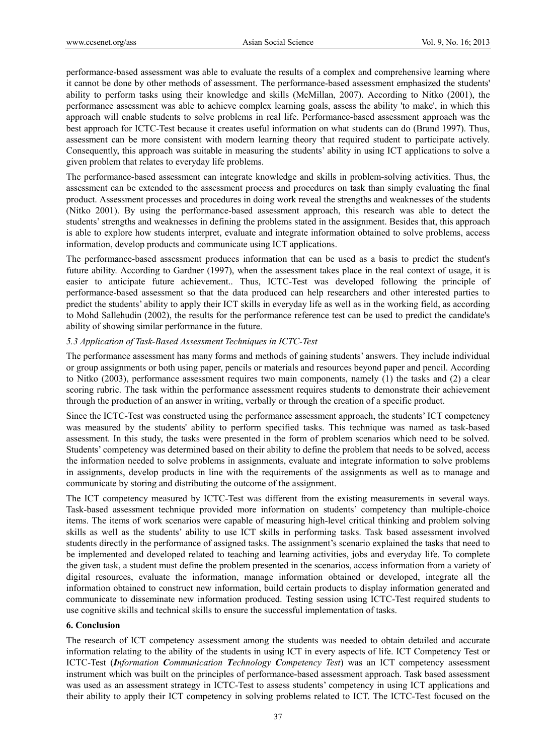performance-based assessment was able to evaluate the results of a complex and comprehensive learning where it cannot be done by other methods of assessment. The performance-based assessment emphasized the students' ability to perform tasks using their knowledge and skills (McMillan, 2007). According to Nitko (2001), the performance assessment was able to achieve complex learning goals, assess the ability 'to make', in which this approach will enable students to solve problems in real life. Performance-based assessment approach was the best approach for ICTC-Test because it creates useful information on what students can do (Brand 1997). Thus, assessment can be more consistent with modern learning theory that required student to participate actively. Consequently, this approach was suitable in measuring the students' ability in using ICT applications to solve a given problem that relates to everyday life problems.

The performance-based assessment can integrate knowledge and skills in problem-solving activities. Thus, the assessment can be extended to the assessment process and procedures on task than simply evaluating the final product. Assessment processes and procedures in doing work reveal the strengths and weaknesses of the students (Nitko 2001). By using the performance-based assessment approach, this research was able to detect the students' strengths and weaknesses in defining the problems stated in the assignment. Besides that, this approach is able to explore how students interpret, evaluate and integrate information obtained to solve problems, access information, develop products and communicate using ICT applications.

The performance-based assessment produces information that can be used as a basis to predict the student's future ability. According to Gardner (1997), when the assessment takes place in the real context of usage, it is easier to anticipate future achievement.. Thus, ICTC-Test was developed following the principle of performance-based assessment so that the data produced can help researchers and other interested parties to predict the students' ability to apply their ICT skills in everyday life as well as in the working field, as according to Mohd Sallehudin (2002), the results for the performance reference test can be used to predict the candidate's ability of showing similar performance in the future.

## *5.3 Application of Task-Based Assessment Techniques in ICTC-Test*

The performance assessment has many forms and methods of gaining students' answers. They include individual or group assignments or both using paper, pencils or materials and resources beyond paper and pencil. According to Nitko (2003), performance assessment requires two main components, namely (1) the tasks and (2) a clear scoring rubric. The task within the performance assessment requires students to demonstrate their achievement through the production of an answer in writing, verbally or through the creation of a specific product.

Since the ICTC-Test was constructed using the performance assessment approach, the students' ICT competency was measured by the students' ability to perform specified tasks. This technique was named as task-based assessment. In this study, the tasks were presented in the form of problem scenarios which need to be solved. Students' competency was determined based on their ability to define the problem that needs to be solved, access the information needed to solve problems in assignments, evaluate and integrate information to solve problems in assignments, develop products in line with the requirements of the assignments as well as to manage and communicate by storing and distributing the outcome of the assignment.

The ICT competency measured by ICTC-Test was different from the existing measurements in several ways. Task-based assessment technique provided more information on students' competency than multiple-choice items. The items of work scenarios were capable of measuring high-level critical thinking and problem solving skills as well as the students' ability to use ICT skills in performing tasks. Task based assessment involved students directly in the performance of assigned tasks. The assignment's scenario explained the tasks that need to be implemented and developed related to teaching and learning activities, jobs and everyday life. To complete the given task, a student must define the problem presented in the scenarios, access information from a variety of digital resources, evaluate the information, manage information obtained or developed, integrate all the information obtained to construct new information, build certain products to display information generated and communicate to disseminate new information produced. Testing session using ICTC-Test required students to use cognitive skills and technical skills to ensure the successful implementation of tasks.

## **6. Conclusion**

The research of ICT competency assessment among the students was needed to obtain detailed and accurate information relating to the ability of the students in using ICT in every aspects of life. ICT Competency Test or ICTC-Test (*Information Communication Technology Competency Test*) was an ICT competency assessment instrument which was built on the principles of performance-based assessment approach. Task based assessment was used as an assessment strategy in ICTC-Test to assess students' competency in using ICT applications and their ability to apply their ICT competency in solving problems related to ICT. The ICTC-Test focused on the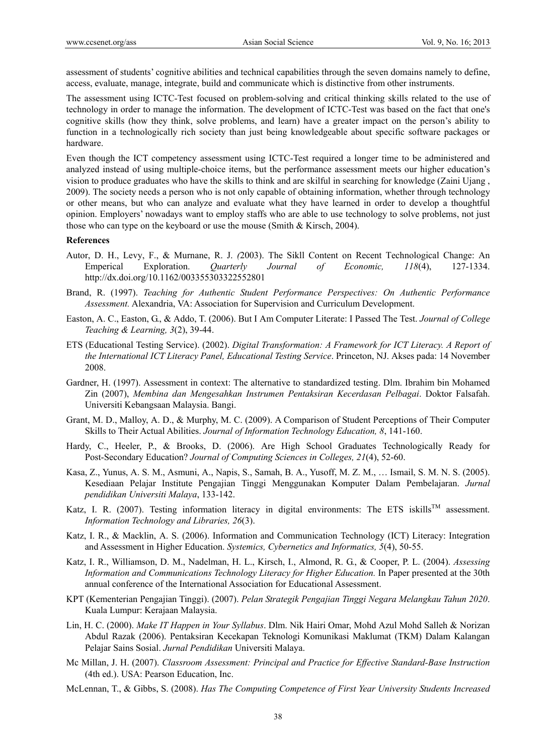assessment of students' cognitive abilities and technical capabilities through the seven domains namely to define, access, evaluate, manage, integrate, build and communicate which is distinctive from other instruments.

The assessment using ICTC-Test focused on problem-solving and critical thinking skills related to the use of technology in order to manage the information. The development of ICTC-Test was based on the fact that one's cognitive skills (how they think, solve problems, and learn) have a greater impact on the person's ability to function in a technologically rich society than just being knowledgeable about specific software packages or hardware.

Even though the ICT competency assessment using ICTC-Test required a longer time to be administered and analyzed instead of using multiple-choice items, but the performance assessment meets our higher education's vision to produce graduates who have the skills to think and are skilful in searching for knowledge (Zaini Ujang , 2009). The society needs a person who is not only capable of obtaining information, whether through technology or other means, but who can analyze and evaluate what they have learned in order to develop a thoughtful opinion. Employers' nowadays want to employ staffs who are able to use technology to solve problems, not just those who can type on the keyboard or use the mouse (Smith & Kirsch, 2004).

#### **References**

- Autor, D. H., Levy, F., & Murnane, R. J. *(*2003). The Sikll Content on Recent Technological Change: An Emperical Exploration. *Quarterly Journal of Economic, 118*(4), 127-1334. http://dx.doi.org/10.1162/003355303322552801
- Brand, R. (1997). *Teaching for Authentic Student Performance Perspectives: On Authentic Performance Assessment.* Alexandria, VA: Association for Supervision and Curriculum Development.
- Easton, A. C., Easton, G., & Addo, T. (2006). But I Am Computer Literate: I Passed The Test. *Journal of College Teaching & Learning, 3*(2), 39-44.
- ETS (Educational Testing Service). (2002). *Digital Transformation: A Framework for ICT Literacy. A Report of the International ICT Literacy Panel, Educational Testing Service*. Princeton, NJ. Akses pada: 14 November 2008.
- Gardner, H. (1997). Assessment in context: The alternative to standardized testing. Dlm. Ibrahim bin Mohamed Zin (2007), *Membina dan Mengesahkan Instrumen Pentaksiran Kecerdasan Pelbagai*. Doktor Falsafah. Universiti Kebangsaan Malaysia. Bangi.
- Grant, M. D., Malloy, A. D., & Murphy, M. C. (2009). A Comparison of Student Perceptions of Their Computer Skills to Their Actual Abilities. *Journal of Information Technology Education, 8*, 141-160.
- Hardy, C., Heeler, P., & Brooks, D. (2006). Are High School Graduates Technologically Ready for Post-Secondary Education? *Journal of Computing Sciences in Colleges, 21*(4), 52-60.
- Kasa, Z., Yunus, A. S. M., Asmuni, A., Napis, S., Samah, B. A., Yusoff, M. Z. M., … Ismail, S. M. N. S. (2005). Kesediaan Pelajar Institute Pengajian Tinggi Menggunakan Komputer Dalam Pembelajaran. *Jurnal pendidikan Universiti Malaya*, 133-142.
- Katz, I. R. (2007). Testing information literacy in digital environments: The ETS iskills<sup>TM</sup> assessment. *Information Technology and Libraries, 26*(3).
- Katz, I. R., & Macklin, A. S. (2006). Information and Communication Technology (ICT) Literacy: Integration and Assessment in Higher Education. *Systemics, Cybernetics and Informatics, 5*(4), 50-55.
- Katz, I. R., Williamson, D. M., Nadelman, H. L., Kirsch, I., Almond, R. G., & Cooper, P. L. (2004). *Assessing Information and Communications Technology Literacy for Higher Education.* In Paper presented at the 30th annual conference of the International Association for Educational Assessment.
- KPT (Kementerian Pengajian Tinggi). (2007). *Pelan Strategik Pengajian Tinggi Negara Melangkau Tahun 2020*. Kuala Lumpur: Kerajaan Malaysia.
- Lin, H. C. (2000). *Make IT Happen in Your Syllabus*. Dlm. Nik Hairi Omar, Mohd Azul Mohd Salleh & Norizan Abdul Razak (2006). Pentaksiran Kecekapan Teknologi Komunikasi Maklumat (TKM) Dalam Kalangan Pelajar Sains Sosial. *Jurnal Pendidikan* Universiti Malaya.
- Mc Millan, J. H. (2007). *Classroom Assessment: Principal and Practice for Effective Standard-Base Instruction*  (4th ed.). USA: Pearson Education, Inc.
- McLennan, T., & Gibbs, S. (2008). *Has The Computing Competence of First Year University Students Increased*